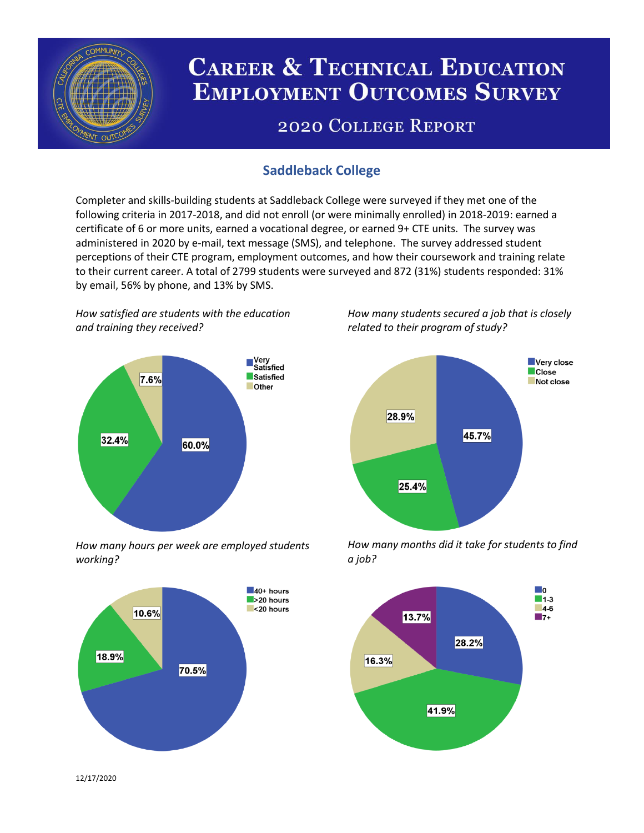

# **CAREER & TECHNICAL EDUCATION EMPLOYMENT OUTCOMES SURVEY**

## **2020 COLLEGE REPORT**

## **Saddleback College**

Completer and skills-building students at Saddleback College were surveyed if they met one of the following criteria in 2017-2018, and did not enroll (or were minimally enrolled) in 2018-2019: earned a certificate of 6 or more units, earned a vocational degree, or earned 9+ CTE units. The survey was administered in 2020 by e-mail, text message (SMS), and telephone. The survey addressed student perceptions of their CTE program, employment outcomes, and how their coursework and training relate to their current career. A total of 2799 students were surveyed and 872 (31%) students responded: 31% by email, 56% by phone, and 13% by SMS.

*How satisfied are students with the education and training they received?*



*How many hours per week are employed students working?*



*How many students secured a job that is closely related to their program of study?*



*How many months did it take for students to find a job?*



12/17/2020